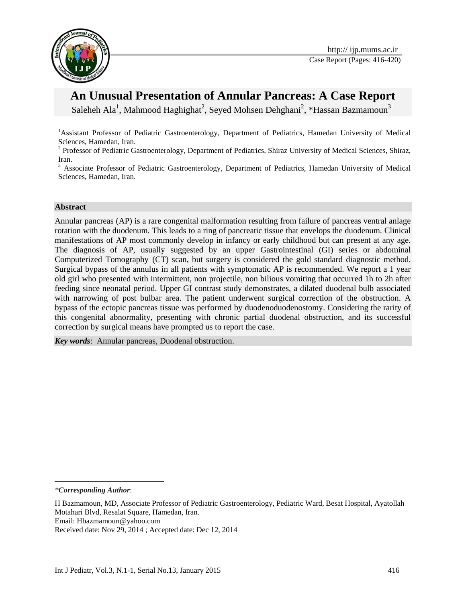

# **An Unusual Presentation of Annular Pancreas: A Case Report**

Saleheh Ala<sup>1</sup>, Mahmood Haghighat<sup>2</sup>, Seyed Mohsen Dehghani<sup>2</sup>, \*Hassan Bazmamoun<sup>3</sup>

<sup>1</sup>Assistant Professor of Pediatric Gastroenterology, Department of Pediatrics, Hamedan University of Medical Sciences, Hamedan, Iran.

<sup>2</sup> Professor of Pediatric Gastroenterology, Department of Pediatrics, Shiraz University of Medical Sciences, Shiraz, Iran.

<sup>3</sup> Associate Professor of Pediatric Gastroenterology, Department of Pediatrics, Hamedan University of Medical Sciences, Hamedan, Iran.

#### **Abstract**

Annular pancreas (AP) is a rare congenital malformation resulting from failure of pancreas ventral anlage rotation with the duodenum. This leads to a ring of pancreatic tissue that envelops the duodenum. Clinical manifestations of AP most commonly develop in infancy or early childhood but can present at any age. The diagnosis of AP, usually suggested by an upper Gastrointestinal (GI) series or abdominal Computerized Tomography (CT) scan, but surgery is considered the gold standard diagnostic method. Surgical bypass of the annulus in all patients with symptomatic AP is recommended. We report a 1 year old girl who presented with intermittent, non projectile, non bilious vomiting that occurred 1h to 2h after feeding since neonatal period. Upper GI contrast study demonstrates, a dilated duodenal bulb associated with narrowing of post bulbar area. The patient underwent surgical correction of the obstruction. A bypass of the ectopic pancreas tissue was performed by duodenoduodenostomy. Considering the rarity of this congenital abnormality, presenting with chronic partial duodenal obstruction, and its successful correction by surgical means have prompted us to report the case.

*Key words*: Annular pancreas, Duodenal obstruction.

 $\overline{a}$ 

*<sup>\*</sup>Corresponding Author*:

H Bazmamoun, MD, Associate Professor of Pediatric Gastroenterology, Pediatric Ward, Besat Hospital, Ayatollah Motahari Blvd, Resalat Square, Hamedan, Iran.

Email: Hbazmamoun@yahoo.com

Received date: Nov 29, 2014 ; Accepted date: Dec 12, 2014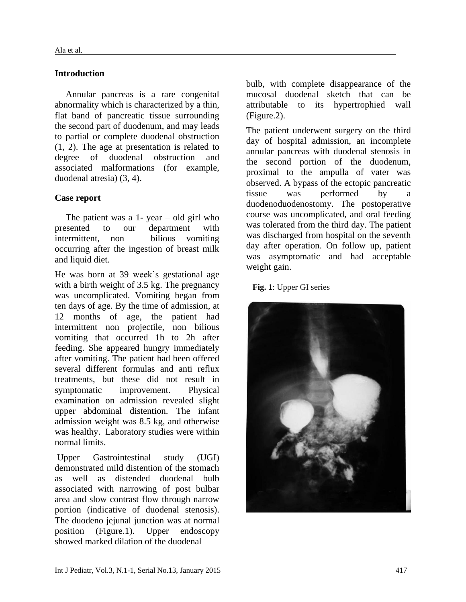## **Introduction**

Annular pancreas is a rare congenital abnormality which is characterized by a thin, flat band of pancreatic tissue surrounding the second part of duodenum, and may leads to partial or complete duodenal obstruction (1, 2). The age at presentation is related to degree of duodenal obstruction and associated malformations (for example, duodenal atresia) (3, 4).

## **Case report**

The patient was a  $1$ - year – old girl who presented to our department with intermittent, non – bilious vomiting occurring after the ingestion of breast milk and liquid diet.

He was born at 39 week's gestational age with a birth weight of 3.5 kg. The pregnancy was uncomplicated. Vomiting began from ten days of age. By the time of admission, at 12 months of age, the patient had intermittent non projectile, non bilious vomiting that occurred 1h to 2h after feeding. She appeared hungry immediately after vomiting. The patient had been offered several different formulas and anti reflux treatments, but these did not result in symptomatic improvement. Physical examination on admission revealed slight upper abdominal distention. The infant admission weight was 8.5 kg, and otherwise was healthy. Laboratory studies were within normal limits.

Upper Gastrointestinal study (UGI) demonstrated mild distention of the stomach as well as distended duodenal bulb associated with narrowing of post bulbar area and slow contrast flow through narrow portion (indicative of duodenal stenosis). The duodeno jejunal junction was at normal position (Figure.1). Upper endoscopy showed marked dilation of the duodenal

bulb, with complete disappearance of the mucosal duodenal sketch that can be attributable to its hypertrophied wall (Figure.2).

The patient underwent surgery on the third day of hospital admission, an incomplete annular pancreas with duodenal stenosis in the second portion of the duodenum, proximal to the ampulla of vater was observed. A bypass of the ectopic pancreatic tissue was performed by a duodenoduodenostomy. The postoperative course was uncomplicated, and oral feeding was tolerated from the third day. The patient was discharged from hospital on the seventh day after operation. On follow up, patient was asymptomatic and had acceptable weight gain.

**Fig. 1**: Upper GI series

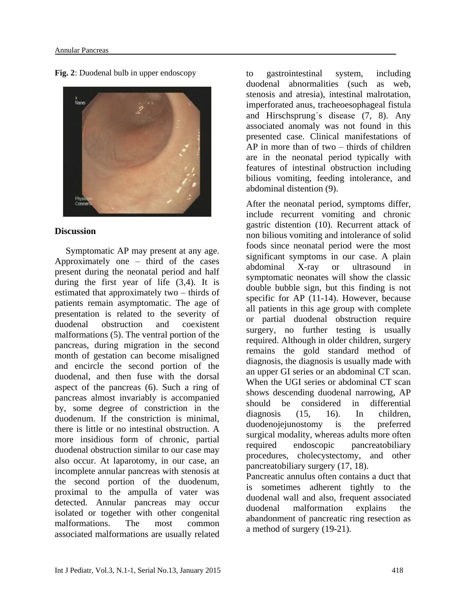**Fig. 2**: Duodenal bulb in upper endoscopy



## **Discussion**

Symptomatic AP may present at any age. Approximately one – third of the cases present during the neonatal period and half during the first year of life (3,4). It is estimated that approximately two – thirds of patients remain asymptomatic. The age of presentation is related to the severity of duodenal obstruction and coexistent malformations (5). The ventral portion of the pancreas, during migration in the second month of gestation can become misaligned and encircle the second portion of the duodenal, and then fuse with the dorsal aspect of the pancreas (6). Such a ring of pancreas almost invariably is accompanied by, some degree of constriction in the duodenum. If the constriction is minimal, there is little or no intestinal obstruction. A more insidious form of chronic, partial duodenal obstruction similar to our case may also occur. At laparotomy, in our case, an incomplete annular pancreas with stenosis at the second portion of the duodenum, proximal to the ampulla of vater was detected. Annular pancreas may occur isolated or together with other congenital malformations. The most common associated malformations are usually related to gastrointestinal system, including duodenal abnormalities (such as web, stenosis and atresia), intestinal malrotation, imperforated anus, tracheoesophageal fistula and Hirschsprung΄s disease (7, 8). Any associated anomaly was not found in this presented case. Clinical manifestations of AP in more than of two – thirds of children are in the neonatal period typically with features of intestinal obstruction including bilious vomiting, feeding intolerance, and abdominal distention (9).

After the neonatal period, symptoms differ, include recurrent vomiting and chronic gastric distention (10). Recurrent attack of non bilious vomiting and intolerance of solid foods since neonatal period were the most significant symptoms in our case. A plain abdominal X-ray or ultrasound in symptomatic neonates will show the classic double bubble sign, but this finding is not specific for AP (11-14). However, because all patients in this age group with complete or partial duodenal obstruction require surgery, no further testing is usually required. Although in older children, surgery remains the gold standard method of diagnosis, the diagnosis is usually made with an upper GI series or an abdominal CT scan. When the UGI series or abdominal CT scan shows descending duodenal narrowing, AP should be considered in differential diagnosis (15, 16). In children, duodenojejunostomy is the preferred surgical modality, whereas adults more often required endoscopic pancreatobiliary procedures, cholecystectomy, and other pancreatobiliary surgery (17, 18).

Pancreatic annulus often contains a duct that is sometimes adherent tightly to the duodenal wall and also, frequent associated duodenal malformation explains the abandonment of pancreatic ring resection as a method of surgery (19-21).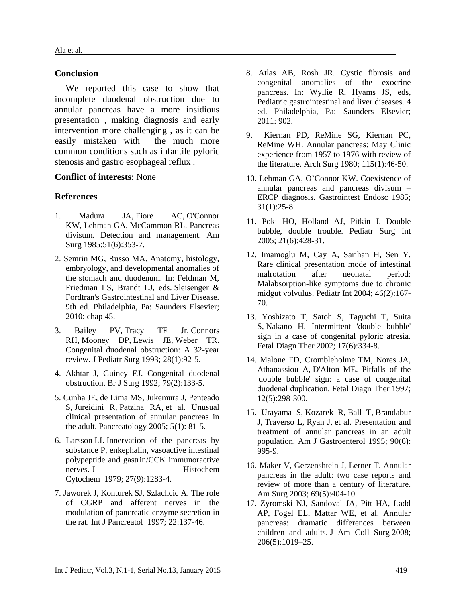#### **Conclusion**

We reported this case to show that incomplete duodenal obstruction due to annular pancreas have a more insidious presentation , making diagnosis and early intervention more challenging , as it can be easily mistaken with the much more common conditions such as infantile pyloric stenosis and gastro esophageal reflux .

#### **Conflict of interests**: None

### **References**

- 1. [Madura JA,](http://www.ncbi.nlm.nih.gov/pubmed?term=Madura%20JA%5BAuthor%5D&cauthor=true&cauthor_uid=3994178) [Fiore AC,](http://www.ncbi.nlm.nih.gov/pubmed?term=Fiore%20AC%5BAuthor%5D&cauthor=true&cauthor_uid=3994178) [O'Connor](http://www.ncbi.nlm.nih.gov/pubmed?term=O%27Connor%20KW%5BAuthor%5D&cauthor=true&cauthor_uid=3994178)  [KW,](http://www.ncbi.nlm.nih.gov/pubmed?term=O%27Connor%20KW%5BAuthor%5D&cauthor=true&cauthor_uid=3994178) [Lehman GA,](http://www.ncbi.nlm.nih.gov/pubmed?term=Lehman%20GA%5BAuthor%5D&cauthor=true&cauthor_uid=3994178) [McCammon RL.](http://www.ncbi.nlm.nih.gov/pubmed?term=McCammon%20RL%5BAuthor%5D&cauthor=true&cauthor_uid=3994178) Pancreas divisum. Detection and management. Am Surg 1985:51(6):353-7.
- 2. Semrin MG, Russo MA. Anatomy, histology, embryology, and developmental anomalies of the stomach and duodenum. In: Feldman M, Friedman LS, Brandt LJ, eds. Sleisenger & Fordtran's Gastrointestinal and Liver Disease. 9th ed. Philadelphia, Pa: Saunders Elsevier; 2010: chap 45.
- 3. [Bailey PV,](http://www.ncbi.nlm.nih.gov/pubmed?term=Bailey%20PV%5BAuthor%5D&cauthor=true&cauthor_uid=8429481) [Tracy TF Jr,](http://www.ncbi.nlm.nih.gov/pubmed?term=Tracy%20TF%20Jr%5BAuthor%5D&cauthor=true&cauthor_uid=8429481) [Connors](http://www.ncbi.nlm.nih.gov/pubmed?term=Connors%20RH%5BAuthor%5D&cauthor=true&cauthor_uid=8429481)  [RH,](http://www.ncbi.nlm.nih.gov/pubmed?term=Connors%20RH%5BAuthor%5D&cauthor=true&cauthor_uid=8429481) [Mooney DP,](http://www.ncbi.nlm.nih.gov/pubmed?term=Mooney%20DP%5BAuthor%5D&cauthor=true&cauthor_uid=8429481) [Lewis JE,](http://www.ncbi.nlm.nih.gov/pubmed?term=Lewis%20JE%5BAuthor%5D&cauthor=true&cauthor_uid=8429481) [Weber TR.](http://www.ncbi.nlm.nih.gov/pubmed?term=Weber%20TR%5BAuthor%5D&cauthor=true&cauthor_uid=8429481) Congenital duodenal obstruction: A 32-year review. [J Pediatr Surg](http://www.ncbi.nlm.nih.gov/pubmed/?term=Congenital+duodenal+obstruction%3A+A+32-year+review.J+Pediatr+Surg+1992) 1993; 28(1):92-5.
- 4. Akhtar J, Guiney EJ. Congenital duodenal obstruction. Br J Surg 1992; 79(2):133-5.
- 5. [Cunha JE,](http://www.ncbi.nlm.nih.gov/pubmed?term=Cunha%20JE%5BAuthor%5D&cauthor=true&cauthor_uid=15775702) [de Lima MS,](http://www.ncbi.nlm.nih.gov/pubmed?term=de%20Lima%20MS%5BAuthor%5D&cauthor=true&cauthor_uid=15775702) [Jukemura J,](http://www.ncbi.nlm.nih.gov/pubmed?term=Jukemura%20J%5BAuthor%5D&cauthor=true&cauthor_uid=15775702) [Penteado](http://www.ncbi.nlm.nih.gov/pubmed?term=Penteado%20S%5BAuthor%5D&cauthor=true&cauthor_uid=15775702)  [S,](http://www.ncbi.nlm.nih.gov/pubmed?term=Penteado%20S%5BAuthor%5D&cauthor=true&cauthor_uid=15775702) [Jureidini R,](http://www.ncbi.nlm.nih.gov/pubmed?term=Jureidini%20R%5BAuthor%5D&cauthor=true&cauthor_uid=15775702) [Patzina RA,](http://www.ncbi.nlm.nih.gov/pubmed?term=Patzina%20RA%5BAuthor%5D&cauthor=true&cauthor_uid=15775702) [et](http://www.ncbi.nlm.nih.gov/pubmed?term=Siqueira%20SA%5BAuthor%5D&cauthor=true&cauthor_uid=15775702) a[l. Unusual](../AppData/Local/Microsoft/Windows/Temporary%20Internet%20Files/island/Desktop/uptodate%2019.2/contents/f24/22/25300.htm)  [clinical presentation of annular pancreas in](../AppData/Local/Microsoft/Windows/Temporary%20Internet%20Files/island/Desktop/uptodate%2019.2/contents/f24/22/25300.htm)  the adult. Pancreatology 2005;  $5(1)$ : 81-5.
- 6. Larsson LI. [Innervation of the pancreas by](http://www.expertconsultbook.com/expertconsult/ob/linkTo?type=journalArticle&isbn=978-1-4377-0774-8&title=Innervation+of+the+pancreas+by+substance+P%2C+enkephalin%2C+vasoactive+intestinal+polypeptide+and+gastrin%2FCCK+immunoractive+nerves&author=Larsson%C2%A0L.I.&date=1979&volume=27&issue=&firstPage=1283&shortTitle=J%20Histochem%20Cytochem)  [substance P, enkephalin, vasoactive intestinal](http://www.expertconsultbook.com/expertconsult/ob/linkTo?type=journalArticle&isbn=978-1-4377-0774-8&title=Innervation+of+the+pancreas+by+substance+P%2C+enkephalin%2C+vasoactive+intestinal+polypeptide+and+gastrin%2FCCK+immunoractive+nerves&author=Larsson%C2%A0L.I.&date=1979&volume=27&issue=&firstPage=1283&shortTitle=J%20Histochem%20Cytochem)  [polypeptide and gastrin/CCK immunoractive](http://www.expertconsultbook.com/expertconsult/ob/linkTo?type=journalArticle&isbn=978-1-4377-0774-8&title=Innervation+of+the+pancreas+by+substance+P%2C+enkephalin%2C+vasoactive+intestinal+polypeptide+and+gastrin%2FCCK+immunoractive+nerves&author=Larsson%C2%A0L.I.&date=1979&volume=27&issue=&firstPage=1283&shortTitle=J%20Histochem%20Cytochem)  [nerves.](http://www.expertconsultbook.com/expertconsult/ob/linkTo?type=journalArticle&isbn=978-1-4377-0774-8&title=Innervation+of+the+pancreas+by+substance+P%2C+enkephalin%2C+vasoactive+intestinal+polypeptide+and+gastrin%2FCCK+immunoractive+nerves&author=Larsson%C2%A0L.I.&date=1979&volume=27&issue=&firstPage=1283&shortTitle=J%20Histochem%20Cytochem) J Histochem Cytochem 1979; 27(9):1283-4.
- 7. Jaworek J, Konturek SJ, Szlachcic A. [The role](http://www.expertconsultbook.com/expertconsult/ob/linkTo?type=journalArticle&isbn=978-1-4377-0774-8&title=The+role+of+CGRP+and+afferent+nerves+in+the+modulation+of+pancreatic+enzyme+secretion+in+the+rat&author=Jaworek%C2%A0J.+Konturek%C2%A0S.J.+Szlachcic%C2%A0A.&date=1997&volume=22&issue=&firstPage=137&shortTitle=Int%20J%20Pancreatol)  [of CGRP and afferent nerves in the](http://www.expertconsultbook.com/expertconsult/ob/linkTo?type=journalArticle&isbn=978-1-4377-0774-8&title=The+role+of+CGRP+and+afferent+nerves+in+the+modulation+of+pancreatic+enzyme+secretion+in+the+rat&author=Jaworek%C2%A0J.+Konturek%C2%A0S.J.+Szlachcic%C2%A0A.&date=1997&volume=22&issue=&firstPage=137&shortTitle=Int%20J%20Pancreatol)  [modulation of pancreatic enzyme secretion in](http://www.expertconsultbook.com/expertconsult/ob/linkTo?type=journalArticle&isbn=978-1-4377-0774-8&title=The+role+of+CGRP+and+afferent+nerves+in+the+modulation+of+pancreatic+enzyme+secretion+in+the+rat&author=Jaworek%C2%A0J.+Konturek%C2%A0S.J.+Szlachcic%C2%A0A.&date=1997&volume=22&issue=&firstPage=137&shortTitle=Int%20J%20Pancreatol)  [the rat.](http://www.expertconsultbook.com/expertconsult/ob/linkTo?type=journalArticle&isbn=978-1-4377-0774-8&title=The+role+of+CGRP+and+afferent+nerves+in+the+modulation+of+pancreatic+enzyme+secretion+in+the+rat&author=Jaworek%C2%A0J.+Konturek%C2%A0S.J.+Szlachcic%C2%A0A.&date=1997&volume=22&issue=&firstPage=137&shortTitle=Int%20J%20Pancreatol) Int J Pancreatol 1997; 22:137-46.
- 8. Atlas AB, Rosh JR. Cystic fibrosis and congenital anomalies of the exocrine pancreas. In: Wyllie R, Hyams JS, eds, Pediatric gastrointestinal and liver diseases. 4 ed. Philadelphia, Pa: Saunders Elsevier; 2011: 902.
- 9. [Kiernan PD, ReMine SG, Kiernan PC,](../AppData/Local/Microsoft/Windows/Temporary%20Internet%20Files/island/Desktop/uptodate%2019.2/contents/f24/22/25300.htm)  [ReMine WH. Annular pancreas: May Clinic](../AppData/Local/Microsoft/Windows/Temporary%20Internet%20Files/island/Desktop/uptodate%2019.2/contents/f24/22/25300.htm)  [experience from 1957 to 1976 with review of](../AppData/Local/Microsoft/Windows/Temporary%20Internet%20Files/island/Desktop/uptodate%2019.2/contents/f24/22/25300.htm)  [the literature. Arch Surg 1980; 115\(1\):46-50.](../AppData/Local/Microsoft/Windows/Temporary%20Internet%20Files/island/Desktop/uptodate%2019.2/contents/f24/22/25300.htm)
- 10. Lehman GA, O'Connor KW. Coexistence of annular pancreas and pancreas divisum – ERCP diagnosis. Gastrointest Endosc 1985; 31(1):25-8.
- 11. [Poki HO, Holland AJ, Pitkin J. Double](../AppData/Local/Microsoft/Windows/Temporary%20Internet%20Files/island/Desktop/uptodate%2019.2/contents/f24/22/25300.htm)  [bubble, double trouble. Pediatr Surg Int](../AppData/Local/Microsoft/Windows/Temporary%20Internet%20Files/island/Desktop/uptodate%2019.2/contents/f24/22/25300.htm)  [2005; 21\(6\):428-31.](../AppData/Local/Microsoft/Windows/Temporary%20Internet%20Files/island/Desktop/uptodate%2019.2/contents/f24/22/25300.htm)
- 12. [Imamoglu M, Cay A, Sarihan H, Sen Y.](../AppData/Local/Microsoft/Windows/Temporary%20Internet%20Files/island/Desktop/uptodate%2019.2/contents/f24/22/25300.htm)  [Rare clinical presentation mode of intestinal](../AppData/Local/Microsoft/Windows/Temporary%20Internet%20Files/island/Desktop/uptodate%2019.2/contents/f24/22/25300.htm)  [malrotation after neonatal period:](../AppData/Local/Microsoft/Windows/Temporary%20Internet%20Files/island/Desktop/uptodate%2019.2/contents/f24/22/25300.htm)  [Malabsorption-like symptoms due to chronic](../AppData/Local/Microsoft/Windows/Temporary%20Internet%20Files/island/Desktop/uptodate%2019.2/contents/f24/22/25300.htm)  [midgut volvulus. Pediatr Int 2004; 46\(2\):167-](../AppData/Local/Microsoft/Windows/Temporary%20Internet%20Files/island/Desktop/uptodate%2019.2/contents/f24/22/25300.htm) [70.](../AppData/Local/Microsoft/Windows/Temporary%20Internet%20Files/island/Desktop/uptodate%2019.2/contents/f24/22/25300.htm)
- 13. [Yoshizato T, Satoh S, Taguchi T, Suita](../AppData/Local/Microsoft/Windows/Temporary%20Internet%20Files/island/Desktop/uptodate%2019.2/contents/f24/22/25300.htm)  [S,](../AppData/Local/Microsoft/Windows/Temporary%20Internet%20Files/island/Desktop/uptodate%2019.2/contents/f24/22/25300.htm) [Nakano H.](../AppData/Local/Microsoft/Windows/Temporary%20Internet%20Files/island/Desktop/uptodate%2019.2/contents/f24/22/25300.htm) Intermittent 'double bubble' [sign in a case of congenital pyloric atresia.](../AppData/Local/Microsoft/Windows/Temporary%20Internet%20Files/island/Desktop/uptodate%2019.2/contents/f24/22/25300.htm)  [Fetal Diagn Ther 2002; 17\(6\):334-8.](../AppData/Local/Microsoft/Windows/Temporary%20Internet%20Files/island/Desktop/uptodate%2019.2/contents/f24/22/25300.htm)
- 14. [Malone FD, Crombleholme TM, Nores JA,](../AppData/Local/Microsoft/Windows/Temporary%20Internet%20Files/island/Desktop/uptodate%2019.2/contents/f24/22/25300.htm)  [Athanassiou A,](../AppData/Local/Microsoft/Windows/Temporary%20Internet%20Files/island/Desktop/uptodate%2019.2/contents/f24/22/25300.htm) [D'Alton ME.](../AppData/Local/Microsoft/Windows/Temporary%20Internet%20Files/island/Desktop/uptodate%2019.2/contents/f24/22/25300.htm) Pitfalls of the ['double bubble' sign: a case of congenital](../AppData/Local/Microsoft/Windows/Temporary%20Internet%20Files/island/Desktop/uptodate%2019.2/contents/f24/22/25300.htm)  [duodenal duplication. Fetal Diagn Ther 1997;](../AppData/Local/Microsoft/Windows/Temporary%20Internet%20Files/island/Desktop/uptodate%2019.2/contents/f24/22/25300.htm)  [12\(5\):298-300.](../AppData/Local/Microsoft/Windows/Temporary%20Internet%20Files/island/Desktop/uptodate%2019.2/contents/f24/22/25300.htm)
- 15. [Urayama S,](http://www.ncbi.nlm.nih.gov/pubmed?term=Urayama%20S%5BAuthor%5D&cauthor=true&cauthor_uid=7771437) [Kozarek R,](http://www.ncbi.nlm.nih.gov/pubmed?term=Kozarek%20R%5BAuthor%5D&cauthor=true&cauthor_uid=7771437) [Ball T,](http://www.ncbi.nlm.nih.gov/pubmed?term=Ball%20T%5BAuthor%5D&cauthor=true&cauthor_uid=7771437) [Brandabur](http://www.ncbi.nlm.nih.gov/pubmed?term=Brandabur%20J%5BAuthor%5D&cauthor=true&cauthor_uid=7771437)  [J,](http://www.ncbi.nlm.nih.gov/pubmed?term=Brandabur%20J%5BAuthor%5D&cauthor=true&cauthor_uid=7771437) [Traverso L,](http://www.ncbi.nlm.nih.gov/pubmed?term=Traverso%20L%5BAuthor%5D&cauthor=true&cauthor_uid=7771437) [Ryan J,](http://www.ncbi.nlm.nih.gov/pubmed?term=Ryan%20J%5BAuthor%5D&cauthor=true&cauthor_uid=7771437) [et](http://www.ncbi.nlm.nih.gov/pubmed?term=Wechter%20D%5BAuthor%5D&cauthor=true&cauthor_uid=7771437) al. [Presentation and](../AppData/Local/Microsoft/Windows/Temporary%20Internet%20Files/island/Desktop/uptodate%2019.2/contents/f24/22/25300.htm)  [treatment of annular pancreas in an adult](../AppData/Local/Microsoft/Windows/Temporary%20Internet%20Files/island/Desktop/uptodate%2019.2/contents/f24/22/25300.htm)  [population. Am J Gastroenterol 1995; 90\(6\):](../AppData/Local/Microsoft/Windows/Temporary%20Internet%20Files/island/Desktop/uptodate%2019.2/contents/f24/22/25300.htm) [995-9.](../AppData/Local/Microsoft/Windows/Temporary%20Internet%20Files/island/Desktop/uptodate%2019.2/contents/f24/22/25300.htm)
- 16. [Maker V, Gerzenshtein J, Lerner T. Annular](../AppData/Local/Microsoft/Windows/Temporary%20Internet%20Files/island/Desktop/uptodate%2019.2/contents/f24/22/25300.htm)  [pancreas in the adult: two case reports and](../AppData/Local/Microsoft/Windows/Temporary%20Internet%20Files/island/Desktop/uptodate%2019.2/contents/f24/22/25300.htm)  [review of more than a century of literature.](../AppData/Local/Microsoft/Windows/Temporary%20Internet%20Files/island/Desktop/uptodate%2019.2/contents/f24/22/25300.htm)  [Am Surg 2003; 69\(5\):404-10.](../AppData/Local/Microsoft/Windows/Temporary%20Internet%20Files/island/Desktop/uptodate%2019.2/contents/f24/22/25300.htm)
- 17. Zyromski NJ, Sandoval JA, Pitt HA, Ladd AP, Fogel EL, Mattar WE, et al. Annular pancreas: dramatic differences between children and adults. J Am Coll Surg 2008; 206(5):1019–25.